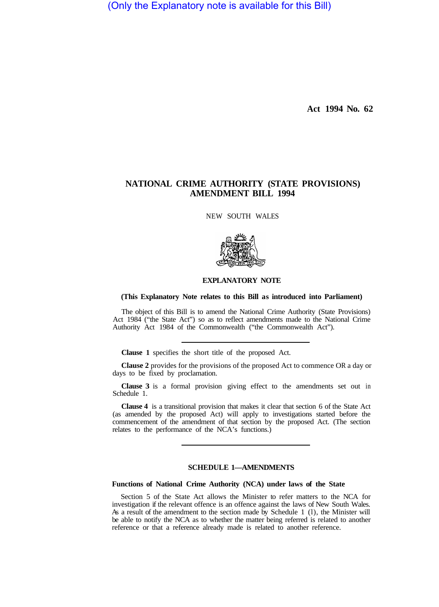(Only the Explanatory note is available for this Bill)

**Act 1994 No. 62** 

# **NATIONAL CRIME AUTHORITY (STATE PROVISIONS) AMENDMENT BILL 1994**

NEW SOUTH WALES



### **EXPLANATORY NOTE**

## **(This Explanatory Note relates to this Bill as introduced into Parliament)**

The object of this Bill is to amend the National Crime Authority (State Provisions) Act 1984 ("the State Act") so as to reflect amendments made to the National Crime Authority Act 1984 of the Commonwealth ("the Commonwealth Act").

**Clause 1** specifies the short title of the proposed Act.

**Clause 2** provides for the provisions of the proposed Act to commence OR a day or days to be fixed by proclamation.

**Clause 3** is a formal provision giving effect to the amendments set out in Schedule 1.

**Clause 4** is a transitional provision that makes it clear that section 6 of the State Act (as amended by the proposed Act) will apply to investigations started before the commencement of the amendment of that section by the proposed Act. (The section relates to the performance of the NCA's functions.)

## **SCHEDULE 1—AMENDMENTS**

### **Functions of National Crime Authority (NCA) under laws of the State**

Section 5 of the State Act allows the Minister to refer matters to the NCA for investigation if the relevant offence is an offence against the laws of New South Wales. As a result of the amendment to the section made by Schedule 1 (l), the Minister will be able to notify the NCA as to whether the matter being referred is related to another reference or that a reference already made is related to another reference.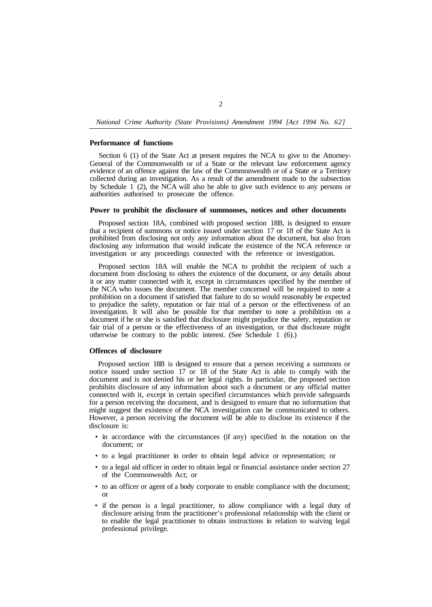## *National Crime Authority (State Provisions) Amendment 1994 [Act 1994 No. 62]*

## **Performance of functions**

Section 6 (1) of the State Act at present requires the NCA to give to the Attorney-General of the Commonwealth or of a State or the relevant law enforcement agency evidence of an offence against the law of the Commonwealth or of a State or a Territory collected during an investigation. As a result of the amendment made to the subsection by Schedule 1 (2), the NCA will also be able to give such evidence to any persons or authorities authorised to prosecute the offence.

#### **Power to prohibit the disclosure of summonses, notices and other documents**

Proposed section 18A, combined with proposed section 18B, is designed to ensure that a recipient of summons or notice issued under section 17 or 18 of the State Act is prohibited from disclosing not only any information about the document, but also from disclosing any information that would indicate the existence of the NCA reference or investigation or any proceedings connected with the reference or investigation.

Proposed section 18A will enable the NCA to prohibit the recipient of such a document from disclosing to others the existence of the document, or any details about it or any matter connected with it, except in circumstances specified by the member of the NCA who issues the document. The member concerned will be required to note a prohibition on a document if satisfied that failure to do so would reasonably be expected to prejudice the safety, reputation or fair trial of a person or the effectiveness of an investigation. It will also be possible for that member to note a prohibition on a document if he or she is satisfied that disclosure might prejudice the safety, reputation or fair trial of a person or the effectiveness of an investigation, or that disclosure might otherwise be contrary to the public interest. (See Schedule 1 (6).)

#### **Offences of disclosure**

Proposed section 18B is designed to ensure that a person receiving a summons or notice issued under section 17 or 18 of the State Act is able to comply with the document and is not denied his or her legal rights. In particular, the proposed section prohibits disclosure of any information about such a document or any official matter connected with it, except in certain specified circumstances which provide safeguards for a person receiving the document, and is designed to ensure that no information that might suggest the existence of the NCA investigation can be communicated to others. However, a person receiving the document will be able to disclose its existence if the disclosure is:

- in accordance with the circumstances (if any) specified in the notation on the document; or
- to a legal practitioner in order to obtain legal advice or representation; or
- to a legal aid officer in order to obtain legal or financial assistance under section 27 of the Commonwealth Act; or
- to an officer or agent of a body corporate to enable compliance with the document; or
- if the person is a legal practitioner, to allow compliance with a legal duty of disclosure arising from the practitioner's professional relationship with the client or to enable the legal practitioner to obtain instructions in relation to waiving legal professional privilege.